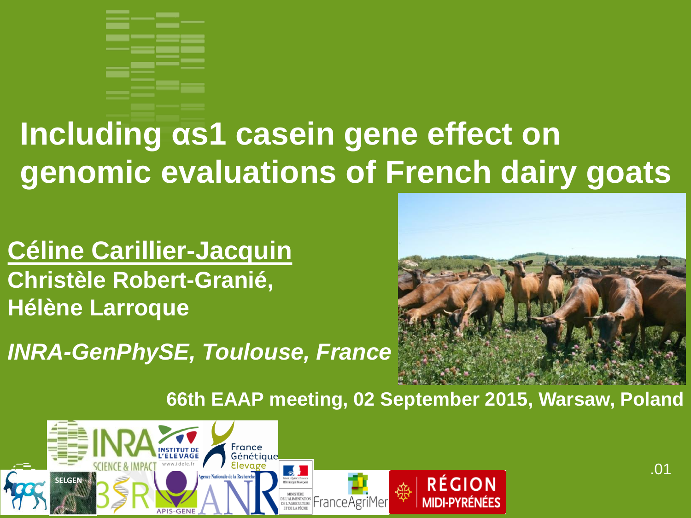

## **Including αs1 casein gene effect on genomic evaluations of French dairy goats**

**Céline Carillier-Jacquin Christèle Robert-Granié, Hélène Larroque**

*INRA-GenPhySE, Toulouse, France*



**66th EAAP meeting, 02 September 2015, Warsaw, Poland**

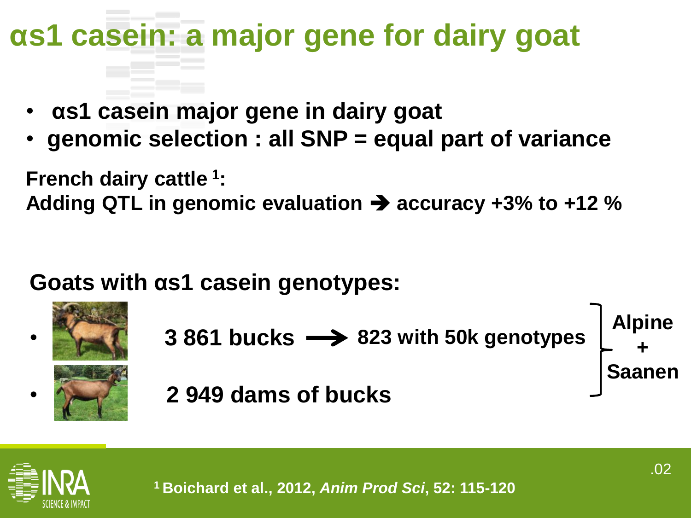## **αs1 casein: a major gene for dairy goat**

- **αs1 casein major gene in dairy goat**
- **genomic selection : all SNP = equal part of variance**

**French dairy cattle <sup>1</sup> :** 

Adding QTL in genomic evaluation  $\rightarrow$  accuracy +3% to +12 %

**Goats with αs1 casein genotypes:**



- **823 with 50k genotypes 3 861 bucks**  $\rightarrow$  **823 with 50k genotypes Alpine +**
	- **2 949 dams of bucks**



**Saanen**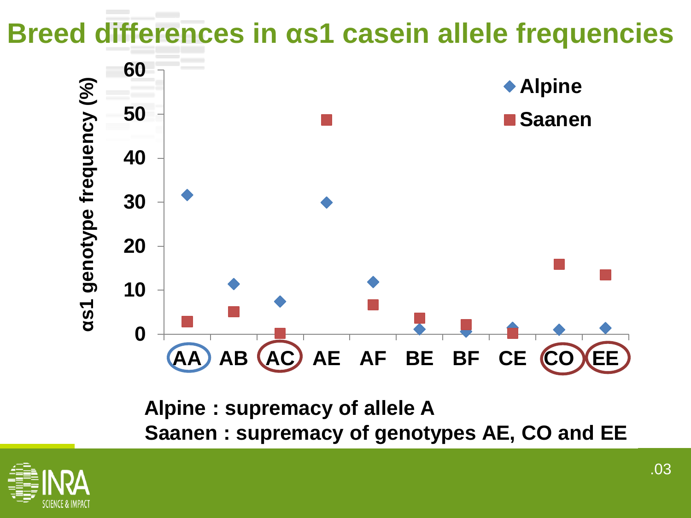#### **Breed differences in αs1 casein allele frequencies**



**Alpine : supremacy of allele A Saanen : supremacy of genotypes AE, CO and EE**

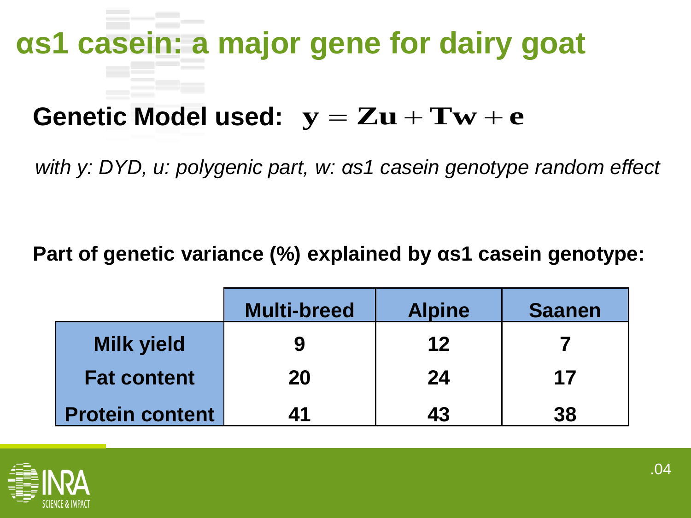# **αs1 casein: a major gene for dairy goat**

#### Genetic Model used:  $y = Zu + Tw + e$

*with y: DYD, u: polygenic part, w: αs1 casein genotype random effect* 

**Part of genetic variance (%) explained by αs1 casein genotype:**

|                        | <b>Multi-breed</b> | <b>Alpine</b> | <b>Saanen</b> |  |
|------------------------|--------------------|---------------|---------------|--|
| <b>Milk yield</b>      | 9                  | 12            |               |  |
| <b>Fat content</b>     | 20                 | 24            | 17            |  |
| <b>Protein content</b> | 41                 | 43            | 38            |  |

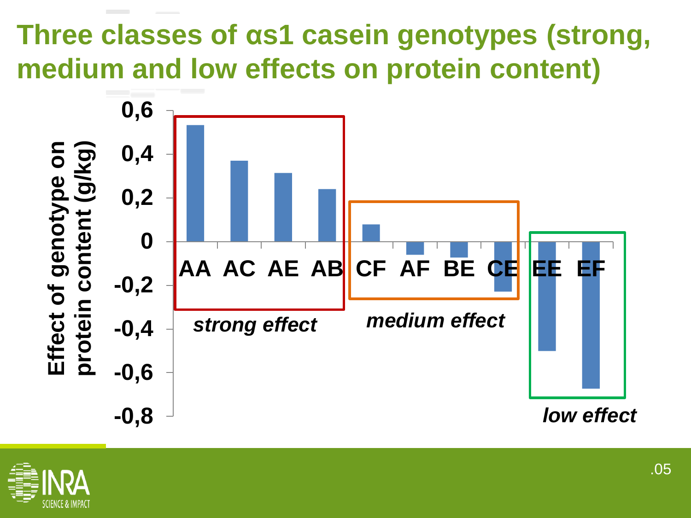#### **Three classes of αs1 casein genotypes (strong, medium and low effects on protein content)**



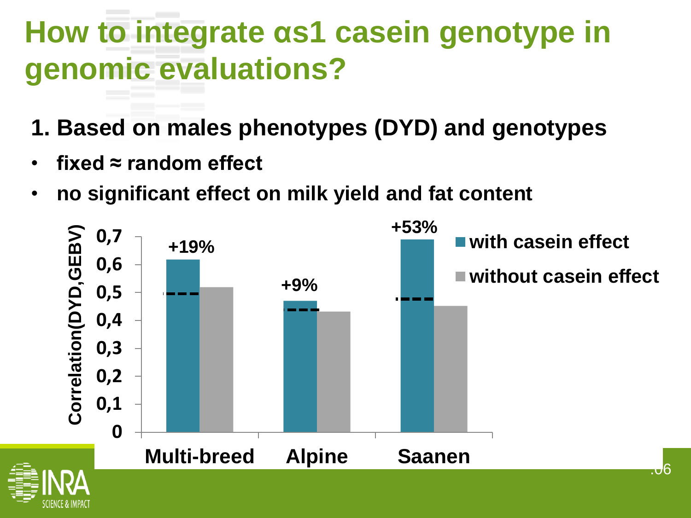- **1. Based on males phenotypes (DYD) and genotypes**
- fixed  $\approx$  random effect
- **no significant effect on milk yield and fat content**

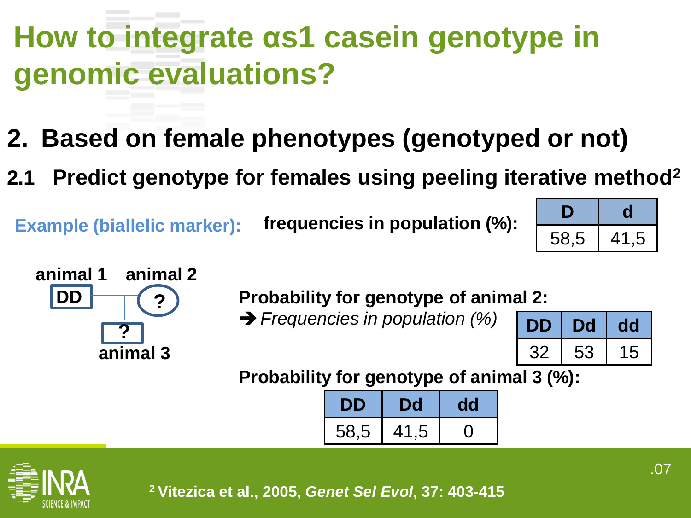- **2. Based on female phenotypes (genotyped or not)**
- **2.1 Predict genotype for females using peeling iterative method<sup>2</sup>**

**Example (biallelic marker): frequencies in population (%):** 

| 58,5 | 41,5 |  |  |  |
|------|------|--|--|--|



**Probability for genotype of animal 2:** 

**→ Frequencies in population (%)** 

| L  |    | õ.<br>O        |
|----|----|----------------|
| マン | 53 | $\overline{5}$ |

**Probability for genotype of animal 3 (%):** 

| 58,5 | 41,5 |  |  |  |
|------|------|--|--|--|



**<sup>2</sup>Vitezica et al., 2005,** *Genet Sel Evol***, 37: 403-415**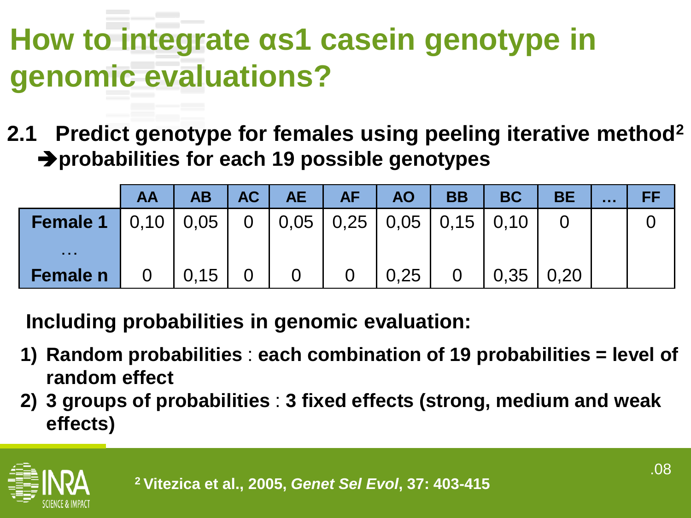**2.1 Predict genotype for females using peeling iterative method<sup>2</sup> probabilities for each 19 possible genotypes**

|                                                                      | <b>AA</b> | AB 7                 | AC | $AE$           | AF             | <b>AO</b> | <b>BB</b>      | <b>BC</b> | <b>BE</b> | <br>FF |
|----------------------------------------------------------------------|-----------|----------------------|----|----------------|----------------|-----------|----------------|-----------|-----------|--------|
| <b>Female 1</b>   0,10   0,05   0   0,05   0,25   0,05   0,15   0,10 |           |                      |    |                |                |           |                |           |           |        |
| .                                                                    |           |                      |    |                |                |           |                |           |           |        |
| Female n                                                             |           | $0 \mid 0.15 \mid 0$ |    | $\overline{0}$ | $\overline{0}$ | 0,25      | $\overline{0}$ | 0,35 0,20 |           |        |

**Including probabilities in genomic evaluation:**

- **1) Random probabilities** : **each combination of 19 probabilities = level of random effect**
- **2) 3 groups of probabilities** : **3 fixed effects (strong, medium and weak effects)**

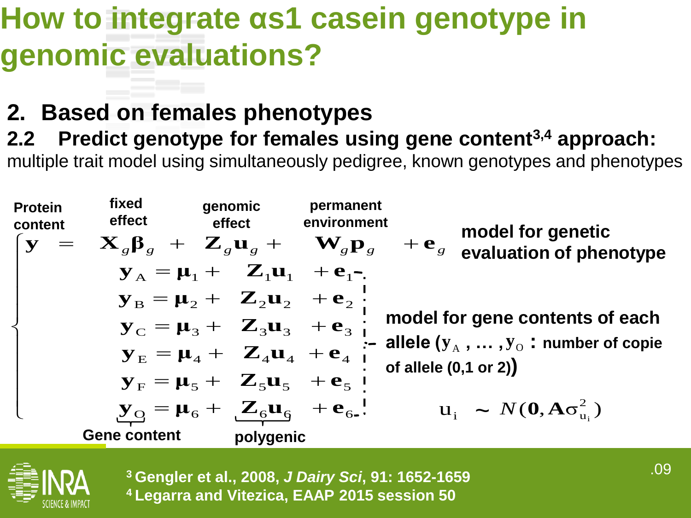#### **2. Based on females phenotypes**

**2.2 Predict genotype for females using gene content3,4 approach:**

multiple trait model using simultaneously pedigree, known genotypes and phenotypes





**<sup>3</sup>Gengler et al., 2008,** *J Dairy Sci***, 91: 1652-1659 <sup>4</sup>Legarra and Vitezica, EAAP 2015 session 50**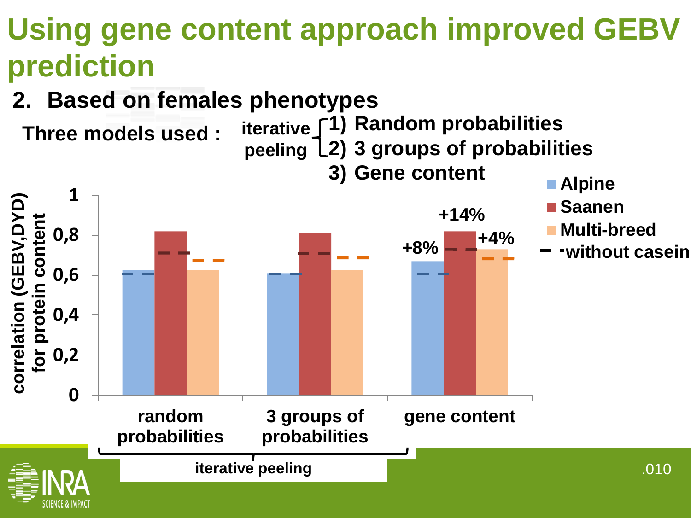#### **Using gene content approach improved GEBV prediction**

**2. Based on females phenotypes**

**Three models used :** 

**Alpine 1) Random probabilities iterative 2) 3 groups of probabilities peeling 3) Gene content**

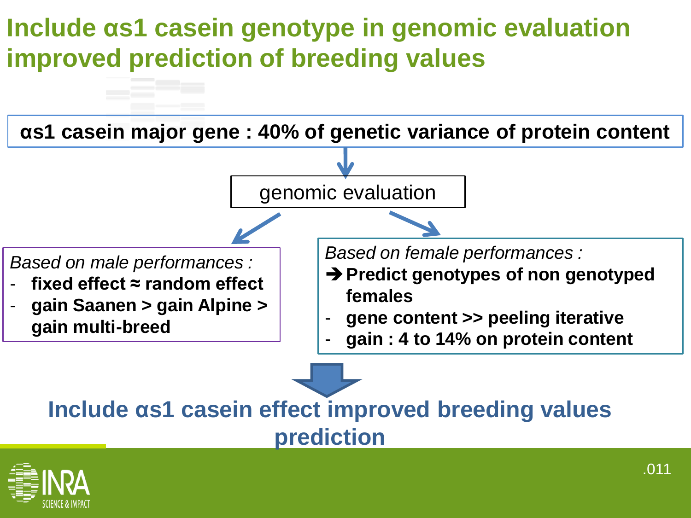#### **Include αs1 casein genotype in genomic evaluation improved prediction of breeding values**



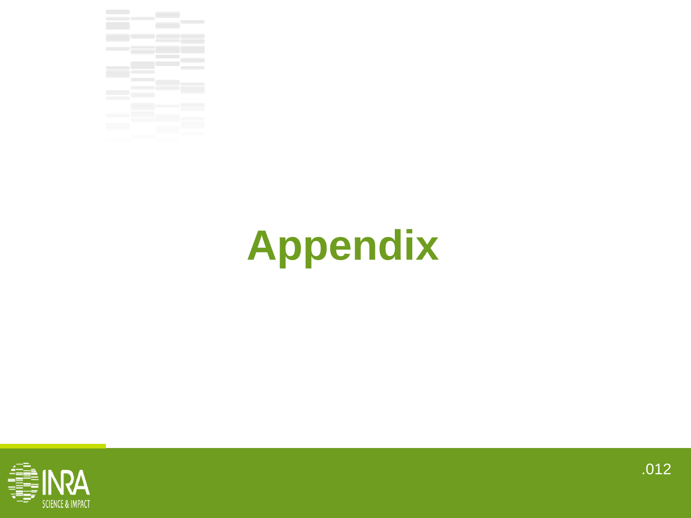

## **Appendix**